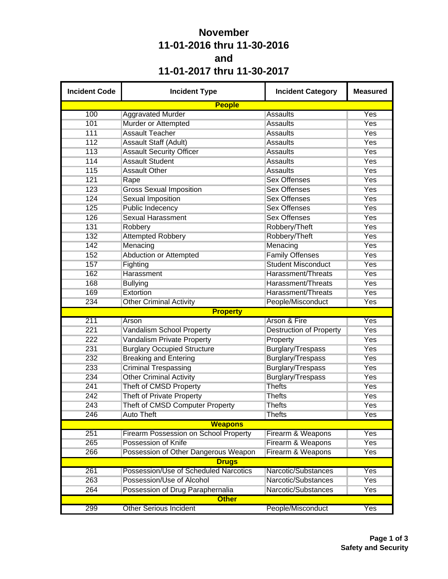## **November 11-01-2016 thru 11-30-2016 and 11-01-2017 thru 11-30-2017**

| <b>Incident Code</b> | <b>Incident Type</b>                         | <b>Incident Category</b>       | <b>Measured</b> |  |  |  |  |
|----------------------|----------------------------------------------|--------------------------------|-----------------|--|--|--|--|
|                      | <b>People</b>                                |                                |                 |  |  |  |  |
| 100                  | <b>Aggravated Murder</b>                     | <b>Assaults</b>                | Yes             |  |  |  |  |
| 101                  | Murder or Attempted                          | <b>Assaults</b>                | <b>Yes</b>      |  |  |  |  |
| 111                  | <b>Assault Teacher</b>                       | <b>Assaults</b>                | Yes             |  |  |  |  |
| 112                  | Assault Staff (Adult)                        | <b>Assaults</b>                | Yes             |  |  |  |  |
| 113                  | <b>Assault Security Officer</b>              | <b>Assaults</b>                | Yes             |  |  |  |  |
| 114                  | <b>Assault Student</b>                       | <b>Assaults</b>                | <b>Yes</b>      |  |  |  |  |
| 115                  | <b>Assault Other</b>                         | <b>Assaults</b>                | <b>Yes</b>      |  |  |  |  |
| 121                  | Rape                                         | <b>Sex Offenses</b>            | Yes             |  |  |  |  |
| 123                  | <b>Gross Sexual Imposition</b>               | <b>Sex Offenses</b>            | Yes             |  |  |  |  |
| 124                  | <b>Sexual Imposition</b>                     | <b>Sex Offenses</b>            | <b>Yes</b>      |  |  |  |  |
| 125                  | <b>Public Indecency</b>                      | <b>Sex Offenses</b>            | Yes             |  |  |  |  |
| 126                  | <b>Sexual Harassment</b>                     | <b>Sex Offenses</b>            | Yes             |  |  |  |  |
| 131                  | Robbery                                      | Robbery/Theft                  | Yes             |  |  |  |  |
| 132                  | <b>Attempted Robbery</b>                     | Robbery/Theft                  | <b>Yes</b>      |  |  |  |  |
| 142                  | Menacing                                     | Menacing                       | Yes             |  |  |  |  |
| 152                  | Abduction or Attempted                       | <b>Family Offenses</b>         | Yes             |  |  |  |  |
| 157                  | Fighting                                     | <b>Student Misconduct</b>      | Yes             |  |  |  |  |
| 162                  | Harassment                                   | Harassment/Threats             | Yes             |  |  |  |  |
| 168                  | <b>Bullying</b>                              | Harassment/Threats             | Yes             |  |  |  |  |
| 169                  | Extortion                                    | Harassment/Threats             | Yes             |  |  |  |  |
| 234                  | <b>Other Criminal Activity</b>               | People/Misconduct              | Yes             |  |  |  |  |
|                      | <b>Property</b>                              |                                |                 |  |  |  |  |
| 211                  | Arson                                        | Arson & Fire                   | Yes             |  |  |  |  |
| 221                  | Vandalism School Property                    | <b>Destruction of Property</b> | <b>Yes</b>      |  |  |  |  |
| 222                  | <b>Vandalism Private Property</b>            | Property                       | Yes             |  |  |  |  |
| 231                  | <b>Burglary Occupied Structure</b>           | Burglary/Trespass              | Yes             |  |  |  |  |
| 232                  | <b>Breaking and Entering</b>                 | <b>Burglary/Trespass</b>       | Yes             |  |  |  |  |
| 233                  | <b>Criminal Trespassing</b>                  | Burglary/Trespass              | <b>Yes</b>      |  |  |  |  |
| 234                  | <b>Other Criminal Activity</b>               | Burglary/Trespass              | Yes             |  |  |  |  |
| 241                  | Theft of CMSD Property                       | <b>Thefts</b>                  | Yes             |  |  |  |  |
| 242                  | <b>Theft of Private Property</b>             | <b>Thefts</b>                  | Yes             |  |  |  |  |
| 243                  | Theft of CMSD Computer Property              | <b>Thefts</b>                  | Yes             |  |  |  |  |
| 246                  | <b>Auto Theft</b>                            | <b>Thefts</b>                  | Yes             |  |  |  |  |
|                      | <b>Weapons</b>                               |                                |                 |  |  |  |  |
| 251                  | <b>Firearm Possession on School Property</b> | Firearm & Weapons              | <b>Yes</b>      |  |  |  |  |
| 265                  | Possession of Knife                          | Firearm & Weapons              | <b>Yes</b>      |  |  |  |  |
| 266                  | Possession of Other Dangerous Weapon         | Firearm & Weapons              | Yes             |  |  |  |  |
|                      | <b>Drugs</b>                                 |                                |                 |  |  |  |  |
| 261                  | Possession/Use of Scheduled Narcotics        | Narcotic/Substances            | Yes             |  |  |  |  |
| 263                  | Possession/Use of Alcohol                    | Narcotic/Substances            | <b>Yes</b>      |  |  |  |  |
| 264                  | Possession of Drug Paraphernalia             | Narcotic/Substances            | Yes             |  |  |  |  |
|                      | <b>Other</b>                                 |                                |                 |  |  |  |  |
| 299                  | <b>Other Serious Incident</b>                | People/Misconduct              | Yes             |  |  |  |  |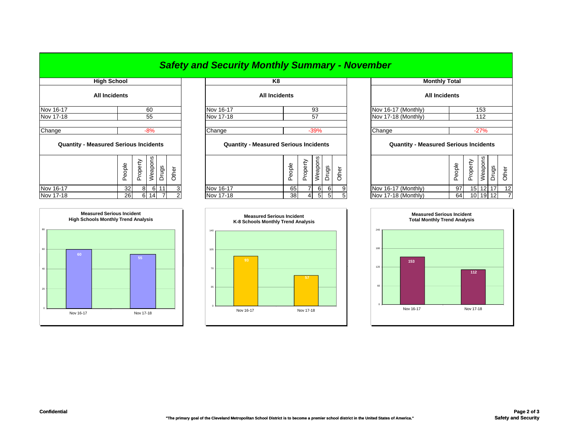|                                              |                      |    |          |         |           |       |           | <b>Safety and Security Monthly Summary - November</b> |        |          |         |                      |                     |                      |                                              |        |          |          |       |       |
|----------------------------------------------|----------------------|----|----------|---------|-----------|-------|-----------|-------------------------------------------------------|--------|----------|---------|----------------------|---------------------|----------------------|----------------------------------------------|--------|----------|----------|-------|-------|
| <b>High School</b>                           |                      |    |          |         | K8        |       |           |                                                       |        |          |         | <b>Monthly Total</b> |                     |                      |                                              |        |          |          |       |       |
|                                              | <b>All Incidents</b> |    |          |         |           |       |           | <b>All Incidents</b>                                  |        |          |         |                      |                     | <b>All Incidents</b> |                                              |        |          |          |       |       |
| Nov 16-17<br>60                              |                      |    |          |         | Nov 16-17 |       |           | 93                                                    |        |          |         |                      | Nov 16-17 (Monthly) |                      |                                              | 153    |          |          |       |       |
| Nov 17-18                                    |                      |    |          | 55      |           |       | Nov 17-18 |                                                       |        |          | 57      |                      |                     |                      | Nov 17-18 (Monthly)                          |        |          | 112      |       |       |
| Change                                       |                      |    |          | $-8%$   |           |       | Change    |                                                       |        |          | $-39%$  |                      |                     |                      | Change                                       |        |          | $-27%$   |       |       |
| <b>Quantity - Measured Serious Incidents</b> |                      |    |          |         |           |       |           | <b>Quantity - Measured Serious Incidents</b>          |        |          |         |                      |                     |                      | <b>Quantity - Measured Serious Incidents</b> |        |          |          |       |       |
|                                              | People               |    | Property | Weapons | Drugs     | Other |           |                                                       | People | Property | Weapons | Drugs                | Other               |                      |                                              | People | Property | Weapons  | Drugs | Other |
| Nov 16-17                                    |                      | 32 | 8        | 6       |           | 3     | Nov 16-17 |                                                       | 65     |          | 6       | 6                    | 9                   |                      | Nov 16-17 (Monthly)                          | 97     |          | 15 12    | 17    | 12    |
| Nov 17-18                                    |                      | 26 |          | 6 14    |           |       | Nov 17-18 |                                                       | 38     | 4        | 5       | 5                    |                     |                      | Nov 17-18 (Monthly)                          | 64     |          | 10 19 12 |       |       |

105

0

35

70

140

| <b>Monthly Total</b>                         |        |          |         |       |       |  |  |  |  |  |
|----------------------------------------------|--------|----------|---------|-------|-------|--|--|--|--|--|
| All Incidents                                |        |          |         |       |       |  |  |  |  |  |
| Nov 16-17 (Monthly)<br>153                   |        |          |         |       |       |  |  |  |  |  |
| Nov 17-18 (Monthly)                          | 112    |          |         |       |       |  |  |  |  |  |
| Change<br>$-27%$                             |        |          |         |       |       |  |  |  |  |  |
| <b>Quantity - Measured Serious Incidents</b> |        |          |         |       |       |  |  |  |  |  |
|                                              | People | Property | Weapons | Drugs | Other |  |  |  |  |  |
| Nov 16-17 (Monthly)                          | 97     | 15       | 12      | 17    | 12    |  |  |  |  |  |
| Nov 17-18 (Monthly)                          | 64     | 10       | 19      | 12    | 7     |  |  |  |  |  |



## **55** 6080**Measured Serious Incident High Schools Monthly Trend Analysis** Nov 16-17 Nov 17-18

**Measured Serious Incident K-8 Schools Monthly Trend Analysis**

Nov 16-17 Nov 17-18

**57**